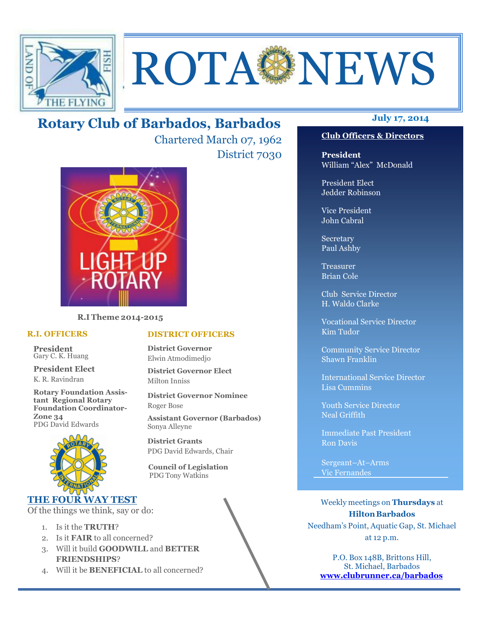

# ROTA NEWS

# **July 17, 2014 Rotary Club of Barbados, Barbados**

Chartered March 07, 1962 District 7030



**R.I Theme 2014-2015** 

#### **R.I. OFFICERS**

**President** Gary C. K. Huang

**President Elect** K. R. Ravindran

**Rotary Foundation Assistant Regional Rotary Foundation Coordinator-Zone 34**  PDG David Edwards



#### **THE FOUR WAY TEST**

Of the things we think, say or do:

- 1. Is it the **TRUTH**?
- 2. Is it **FAIR** to all concerned?
- 3. Will it build **GOODWILL** and **BETTER FRIENDSHIPS**?
- 4. Will it be **BENEFICIAL** to all concerned?

### **DISTRICT OFFICERS**

**District Governor** Elwin Atmodimedjo

**District Governor Elect** Milton Inniss

**District Governor Nominee**  Roger Bose

**Assistant Governor (Barbados)** Sonya Alleyne

**District Grants**  PDG David Edwards, Chair

 **Council of Legislation**  PDG Tony Watkins

#### **Club Officers & Directors**

**President** William "Alex" McDonald

President Elect Jedder Robinson

Vice President John Cabral

Secretary Paul Ashby

Treasurer Brian Cole

Club Service Director H. Waldo Clarke

Vocational Service Director Kim Tudor

Community Service Director Shawn Franklin

International Service Director Lisa Cummins

Youth Service Director Neal Griffith

Immediate Past President Ron Davis

Sergeant–At–Arms Vic Fernandes

Weekly meetings on **Thursdays** at **Hilton Barbados** Needham's Point, Aquatic Gap, St. Michael at 12 p.m.

P.O. Box 148B, Brittons Hill, St. Michael, Barbados **www.clubrunner.ca/barbados**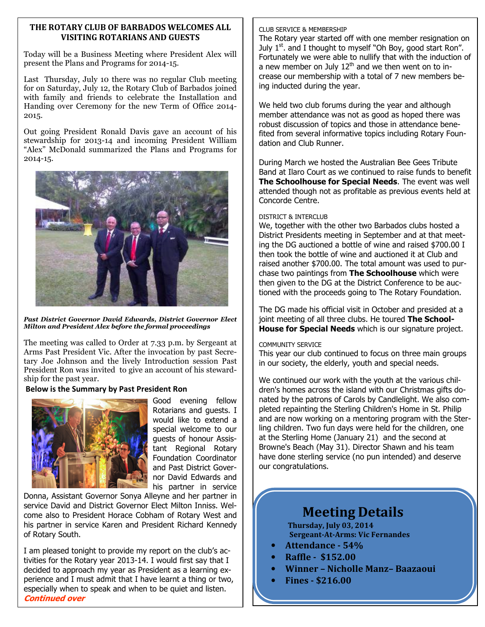#### **THE ROTARY CLUB OF BARBADOS WELCOMES ALL VISITING ROTARIANS AND GUESTS**

Today will be a Business Meeting where President Alex will present the Plans and Programs for 2014-15.

Last Thursday, July 10 there was no regular Club meeting for on Saturday, July 12, the Rotary Club of Barbados joined with family and friends to celebrate the Installation and Handing over Ceremony for the new Term of Office 2014- 2015.

Out going President Ronald Davis gave an account of his stewardship for 2013-14 and incoming President William "Alex" McDonald summarized the Plans and Programs for 2014-15.



*Past District Governor David Edwards, District Governor Elect Milton and President Alex before the formal proceedings* 

The meeting was called to Order at 7.33 p.m. by Sergeant at Arms Past President Vic. After the invocation by past Secretary Joe Johnson and the lively Introduction session Past President Ron was invited to give an account of his stewardship for the past year.

#### **Below is the Summary by Past President Ron**



Good evening fellow Rotarians and guests. I would like to extend a special welcome to our guests of honour Assistant Regional Rotary Foundation Coordinator and Past District Governor David Edwards and his partner in service

Donna, Assistant Governor Sonya Alleyne and her partner in service David and District Governor Elect Milton Inniss. Welcome also to President Horace Cobham of Rotary West and his partner in service Karen and President Richard Kennedy of Rotary South.

I am pleased tonight to provide my report on the club's activities for the Rotary year 2013-14. I would first say that I decided to approach my year as President as a learning experience and I must admit that I have learnt a thing or two, especially when to speak and when to be quiet and listen. **Continued over** 

#### CLUB SERVICE & MEMBERSHIP

The Rotary year started off with one member resignation on July  $1<sup>st</sup>$  and I thought to myself "Oh Boy, good start Ron". Fortunately we were able to nullify that with the induction of a new member on July  $12<sup>th</sup>$  and we then went on to increase our membership with a total of 7 new members being inducted during the year.

We held two club forums during the year and although member attendance was not as good as hoped there was robust discussion of topics and those in attendance benefited from several informative topics including Rotary Foundation and Club Runner.

During March we hosted the Australian Bee Gees Tribute Band at Ilaro Court as we continued to raise funds to benefit **The Schoolhouse for Special Needs**. The event was well attended though not as profitable as previous events held at Concorde Centre.

#### DISTRICT & INTERCLUB

We, together with the other two Barbados clubs hosted a District Presidents meeting in September and at that meeting the DG auctioned a bottle of wine and raised \$700.00 I then took the bottle of wine and auctioned it at Club and raised another \$700.00. The total amount was used to purchase two paintings from **The Schoolhouse** which were then given to the DG at the District Conference to be auctioned with the proceeds going to The Rotary Foundation.

The DG made his official visit in October and presided at a joint meeting of all three clubs. He toured **The School-House for Special Needs** which is our signature project.

COMMUNITY SERVICE

This year our club continued to focus on three main groups in our society, the elderly, youth and special needs.

We continued our work with the youth at the various children's homes across the island with our Christmas gifts donated by the patrons of Carols by Candlelight. We also completed repainting the Sterling Children's Home in St. Philip and are now working on a mentoring program with the Sterling children. Two fun days were held for the children, one at the Sterling Home (January 21) and the second at Browne's Beach (May 31). Director Shawn and his team have done sterling service (no pun intended) and deserve our congratulations.

## **Meeting Details**

**Thursday, July 03, 2014 Sergeant-At-Arms: Vic Fernandes** 

- **Attendance 54%**
- **Raffle \$152.00**
- **Winner Nicholle Manz– Baazaoui**
- **Fines \$216.00**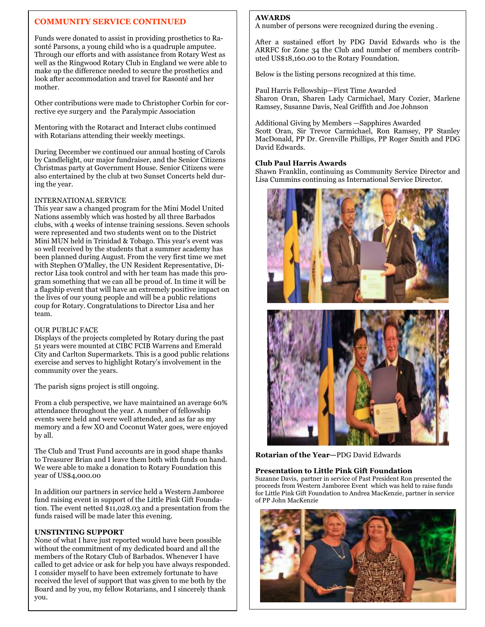#### **COMMUNITY SERVICE CONTINUED**

Funds were donated to assist in providing prosthetics to Rasonté Parsons, a young child who is a quadruple amputee. Through our efforts and with assistance from Rotary West as well as the Ringwood Rotary Club in England we were able to make up the difference needed to secure the prosthetics and look after accommodation and travel for Rasonté and her mother.

Other contributions were made to Christopher Corbin for corrective eye surgery and the Paralympic Association

Mentoring with the Rotaract and Interact clubs continued with Rotarians attending their weekly meetings.

During December we continued our annual hosting of Carols by Candlelight, our major fundraiser, and the Senior Citizens Christmas party at Government House. Senior Citizens were also entertained by the club at two Sunset Concerts held during the year.

#### INTERNATIONAL SERVICE

This year saw a changed program for the Mini Model United Nations assembly which was hosted by all three Barbados clubs, with 4 weeks of intense training sessions. Seven schools were represented and two students went on to the District Mini MUN held in Trinidad & Tobago. This year's event was so well received by the students that a summer academy has been planned during August. From the very first time we met with Stephen O'Malley, the UN Resident Representative, Director Lisa took control and with her team has made this program something that we can all be proud of. In time it will be a flagship event that will have an extremely positive impact on the lives of our young people and will be a public relations coup for Rotary. Congratulations to Director Lisa and her team.

#### OUR PUBLIC FACE

Displays of the projects completed by Rotary during the past 51 years were mounted at CIBC FCIB Warrens and Emerald City and Carlton Supermarkets. This is a good public relations exercise and serves to highlight Rotary's involvement in the community over the years.

The parish signs project is still ongoing.

From a club perspective, we have maintained an average 60% attendance throughout the year. A number of fellowship events were held and were well attended, and as far as my memory and a few XO and Coconut Water goes, were enjoyed by all.

The Club and Trust Fund accounts are in good shape thanks to Treasurer Brian and I leave them both with funds on hand. We were able to make a donation to Rotary Foundation this year of US\$4,000.00

In addition our partners in service held a Western Jamboree fund raising event in support of the Little Pink Gift Foundation. The event netted \$11,028.03 and a presentation from the funds raised will be made later this evening.

#### **UNSTINTING SUPPORT**

None of what I have just reported would have been possible without the commitment of my dedicated board and all the members of the Rotary Club of Barbados. Whenever I have called to get advice or ask for help you have always responded. I consider myself to have been extremely fortunate to have received the level of support that was given to me both by the Board and by you, my fellow Rotarians, and I sincerely thank you.

#### **AWARDS**

A number of persons were recognized during the evening .

After a sustained effort by PDG David Edwards who is the ARRFC for Zone 34 the Club and number of members contributed US\$18,160.00 to the Rotary Foundation.

Below is the listing persons recognized at this time.

Paul Harris Fellowship—First Time Awarded Sharon Oran, Sharen Lady Carmichael, Mary Cozier, Marlene Ramsey, Susanne Davis, Neal Griffith and Joe Johnson

Additional Giving by Members —Sapphires Awarded Scott Oran, Sir Trevor Carmichael, Ron Ramsey, PP Stanley MacDonald, PP Dr. Grenville Phillips, PP Roger Smith and PDG David Edwards.

#### **Club Paul Harris Awards**

Shawn Franklin, continuing as Community Service Director and Lisa Cummins continuing as International Service Director.





**Rotarian of the Year—**PDG David Edwards

#### **Presentation to Little Pink Gift Foundation**

Suzanne Davis, partner in service of Past President Ron presented the proceeds from Western Jamboree Event which was held to raise funds for Little Pink Gift Foundation to Andrea MacKenzie, partner in service of PP John MacKenzie

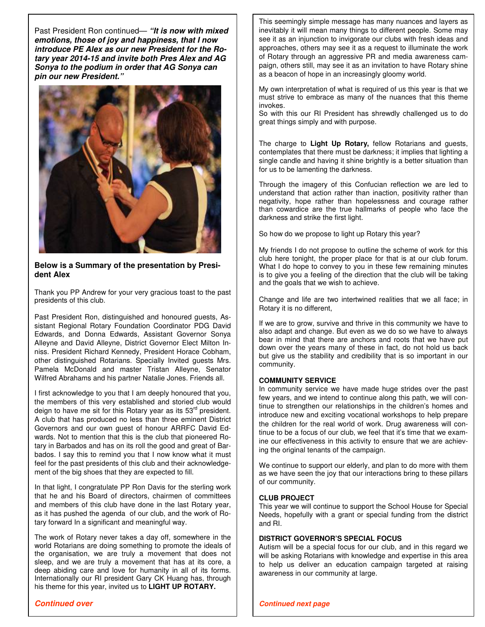Past President Ron continued— **"It is now with mixed emotions, those of joy and happiness, that I now introduce PE Alex as our new President for the Rotary year 2014-15 and invite both Pres Alex and AG Sonya to the podium in order that AG Sonya can pin our new President."** 



#### **Below is a Summary of the presentation by President Alex**

Thank you PP Andrew for your very gracious toast to the past presidents of this club.

Past President Ron, distinguished and honoured guests, Assistant Regional Rotary Foundation Coordinator PDG David Edwards, and Donna Edwards, Assistant Governor Sonya Alleyne and David Alleyne, District Governor Elect Milton Inniss. President Richard Kennedy, President Horace Cobham, other distinguished Rotarians. Specially Invited guests Mrs. Pamela McDonald and master Tristan Alleyne, Senator Wilfred Abrahams and his partner Natalie Jones. Friends all.

I first acknowledge to you that I am deeply honoured that you, the members of this very established and storied club would deign to have me sit for this Rotary year as its  $53<sup>rd</sup>$  president. A club that has produced no less than three eminent District Governors and our own guest of honour ARRFC David Edwards. Not to mention that this is the club that pioneered Rotary in Barbados and has on its roll the good and great of Barbados. I say this to remind you that I now know what it must feel for the past presidents of this club and their acknowledgement of the big shoes that they are expected to fill.

In that light, I congratulate PP Ron Davis for the sterling work that he and his Board of directors, chairmen of committees and members of this club have done in the last Rotary year, as it has pushed the agenda of our club, and the work of Rotary forward In a significant and meaningful way.

The work of Rotary never takes a day off, somewhere in the world Rotarians are doing something to promote the ideals of the organisation, we are truly a movement that does not sleep, and we are truly a movement that has at its core, a deep abiding care and love for humanity in all of its forms. Internationally our RI president Gary CK Huang has, through his theme for this year, invited us to **LIGHT UP ROTARY.** 

This seemingly simple message has many nuances and layers as inevitably it will mean many things to different people. Some may see it as an injunction to invigorate our clubs with fresh ideas and approaches, others may see it as a request to illuminate the work of Rotary through an aggressive PR and media awareness campaign, others still, may see it as an invitation to have Rotary shine as a beacon of hope in an increasingly gloomy world.

My own interpretation of what is required of us this year is that we must strive to embrace as many of the nuances that this theme invokes.

So with this our RI President has shrewdly challenged us to do great things simply and with purpose.

The charge to **Light Up Rotary,** fellow Rotarians and guests, contemplates that there must be darkness; it implies that lighting a single candle and having it shine brightly is a better situation than for us to be lamenting the darkness.

Through the imagery of this Confucian reflection we are led to understand that action rather than inaction, positivity rather than negativity, hope rather than hopelessness and courage rather than cowardice are the true hallmarks of people who face the darkness and strike the first light.

So how do we propose to light up Rotary this year?

My friends I do not propose to outline the scheme of work for this club here tonight, the proper place for that is at our club forum. What I do hope to convey to you in these few remaining minutes is to give you a feeling of the direction that the club will be taking and the goals that we wish to achieve.

Change and life are two intertwined realities that we all face; in Rotary it is no different,

If we are to grow, survive and thrive in this community we have to also adapt and change. But even as we do so we have to always bear in mind that there are anchors and roots that we have put down over the years many of these in fact, do not hold us back but give us the stability and credibility that is so important in our community.

#### **COMMUNITY SERVICE**

In community service we have made huge strides over the past few years, and we intend to continue along this path, we will continue to strengthen our relationships in the children's homes and introduce new and exciting vocational workshops to help prepare the children for the real world of work. Drug awareness will continue to be a focus of our club, we feel that it's time that we examine our effectiveness in this activity to ensure that we are achieving the original tenants of the campaign.

We continue to support our elderly, and plan to do more with them as we have seen the joy that our interactions bring to these pillars of our community.

#### **CLUB PROJECT**

This year we will continue to support the School House for Special Needs, hopefully with a grant or special funding from the district and RI.

#### **DISTRICT GOVERNOR'S SPECIAL FOCUS**

Autism will be a special focus for our club, and in this regard we will be asking Rotarians with knowledge and expertise in this area to help us deliver an education campaign targeted at raising awareness in our community at large.

**Continued next page** 

#### **Continued over**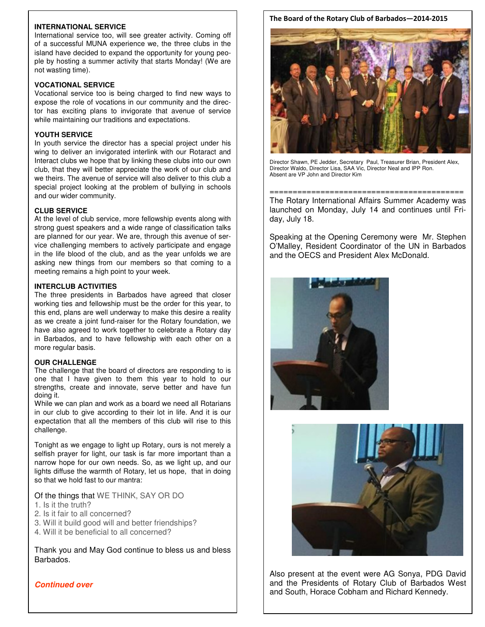#### **INTERNATIONAL SERVICE**

International service too, will see greater activity. Coming off of a successful MUNA experience we, the three clubs in the island have decided to expand the opportunity for young people by hosting a summer activity that starts Monday! (We are not wasting time).

#### **VOCATIONAL SERVICE**

Vocational service too is being charged to find new ways to expose the role of vocations in our community and the director has exciting plans to invigorate that avenue of service while maintaining our traditions and expectations.

#### **YOUTH SERVICE**

In youth service the director has a special project under his wing to deliver an invigorated interlink with our Rotaract and Interact clubs we hope that by linking these clubs into our own club, that they will better appreciate the work of our club and we theirs. The avenue of service will also deliver to this club a special project looking at the problem of bullying in schools and our wider community.

#### **CLUB SERVICE**

At the level of club service, more fellowship events along with strong quest speakers and a wide range of classification talks are planned for our year. We are, through this avenue of service challenging members to actively participate and engage in the life blood of the club, and as the year unfolds we are asking new things from our members so that coming to a meeting remains a high point to your week.

#### **INTERCLUB ACTIVITIES**

The three presidents in Barbados have agreed that closer working ties and fellowship must be the order for this year, to this end, plans are well underway to make this desire a reality as we create a joint fund-raiser for the Rotary foundation, we have also agreed to work together to celebrate a Rotary day in Barbados, and to have fellowship with each other on a more regular basis.

#### **OUR CHALLENGE**

The challenge that the board of directors are responding to is one that I have given to them this year to hold to our strengths, create and innovate, serve better and have fun doing it.

While we can plan and work as a board we need all Rotarians in our club to give according to their lot in life. And it is our expectation that all the members of this club will rise to this challenge.

Tonight as we engage to light up Rotary, ours is not merely a selfish prayer for light, our task is far more important than a narrow hope for our own needs. So, as we light up, and our lights diffuse the warmth of Rotary, let us hope, that in doing so that we hold fast to our mantra:

Of the things that WE THINK, SAY OR DO

- 1. Is it the truth?
- 2. Is it fair to all concerned?
- 3. Will it build good will and better friendships?
- 4. Will it be beneficial to all concerned?

Thank you and May God continue to bless us and bless Barbados.

#### **Continued over**

#### **The Board of the Rotary Club of Barbados-2014-2015**



Director Shawn, PE Jedder, Secretary Paul, Treasurer Brian, President Alex, Director Waldo, Director Lisa, SAA Vic, Director Neal and IPP Ron. Absent are VP John and I Director Waldo, Director Lisa, SAA Vic, Director Neal and IPP Ron. Absent are VP John and Director Kim

While we can plan and work as a board we need all ========================================== Rotarians in our club to give according to their lot in life. The Rotary International Affairs Summer Academy was

Ince riotally international Analis Summer Academy was<br>launched on Monday, July 14 and continues until Friaanonod on monady, odly 1<br>day, July 18.

O'Malley, Resident Coordinator of the UN in Barbados The and the OECS and President Alex McDonald. Speaking at the Opening Ceremony were Mr. Stephen





Also present at the event were AG Sonya, PDG David and the Presidents of Rotary Club of Barbados West and South, Horace Cobham and Richard Kennedy.